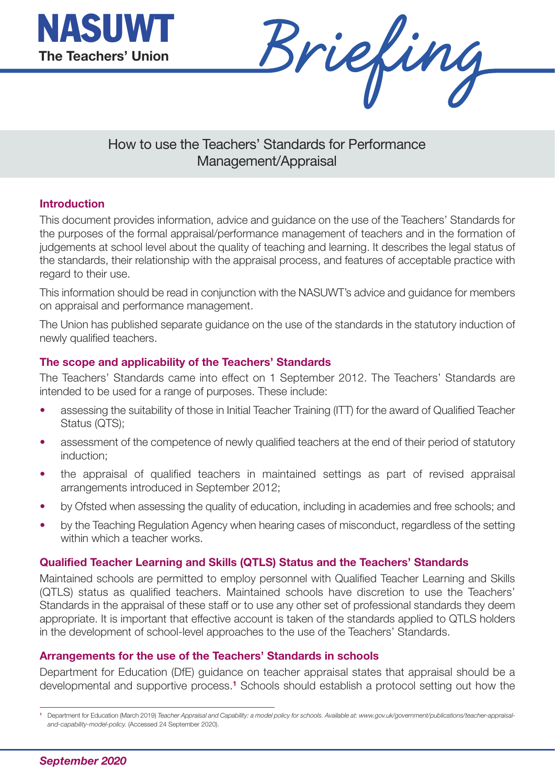



# How to use the Teachers' Standards for Performance Management/Appraisal

# **Introduction**

This document provides information, advice and guidance on the use of the Teachers' Standards for the purposes of the formal appraisal/performance management of teachers and in the formation of judgements at school level about the quality of teaching and learning. It describes the legal status of the standards, their relationship with the appraisal process, and features of acceptable practice with regard to their use.

This information should be read in conjunction with the NASUWT's advice and guidance for members on appraisal and performance management.

The Union has published separate guidance on the use of the standards in the statutory induction of newly qualified teachers.

#### **The scope and applicability of the Teachers' Standards**

The Teachers' Standards came into effect on 1 September 2012. The Teachers' Standards are intended to be used for a range of purposes. These include:

- assessing the suitability of those in Initial Teacher Training (ITT) for the award of Qualified Teacher Status (QTS);
- assessment of the competence of newly qualified teachers at the end of their period of statutory induction;
- the appraisal of qualified teachers in maintained settings as part of revised appraisal arrangements introduced in September 2012;
- by Ofsted when assessing the quality of education, including in academies and free schools; and
- by the Teaching Regulation Agency when hearing cases of misconduct, regardless of the setting within which a teacher works.

#### **Qualified Teacher Learning and Skills (QTLS) Status and the Teachers' Standards**

Maintained schools are permitted to employ personnel with Qualified Teacher Learning and Skills (QTLS) status as qualified teachers. Maintained schools have discretion to use the Teachers' Standards in the appraisal of these staff or to use any other set of professional standards they deem appropriate. It is important that effective account is taken of the standards applied to QTLS holders in the development of school-level approaches to the use of the Teachers' Standards.

#### **Arrangements for the use of the Teachers' Standards in schools**

Department for Education (DfE) guidance on teacher appraisal states that appraisal should be a developmental and supportive process.**<sup>1</sup>** Schools should establish a protocol setting out how the

Department for Education (March 2019) Teacher Appraisal and Capability: a model policy for schools. Available at: www.gov.uk/government/publications/teacher-appraisal*and-capability-model-policy.* (Accessed 24 September 2020).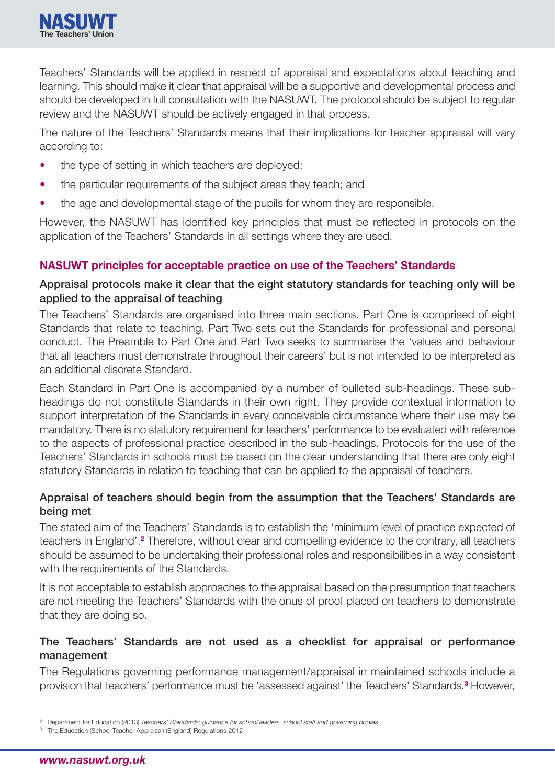

Teachers' Standards will be applied in respect of appraisal and expectations about teaching and learning. This should make it clear that appraisal will be a supportive and developmental process and should be developed in full consultation with the NASUWT. The protocol should be subject to regular review and the NASUWT should be actively engaged in that process.

The nature of the Teachers' Standards means that their implications for teacher appraisal will vary according to:

- the type of setting in which teachers are deployed;
- the particular requirements of the subject areas they teach; and
- the age and developmental stage of the pupils for whom they are responsible.

However, the NASUWT has identified key principles that must be reflected in protocols on the application of the Teachers' Standards in all settings where they are used.

# **NASUWT principles for acceptable practice on use of the Teachers' Standards**

# **Appraisal protocols make it clear that the eight statutory standards for teaching only will be applied to the appraisal of teaching**

The Teachers' Standards are organised into three main sections. Part One is comprised of eight Standards that relate to teaching. Part Two sets out the Standards for professional and personal conduct. The Preamble to Part One and Part Two seeks to summarise the 'values and behaviour that all teachers must demonstrate throughout their careers' but is not intended to be interpreted as an additional discrete Standard.

Each Standard in Part One is accompanied by a number of bulleted sub-headings. These subheadings do not constitute Standards in their own right. They provide contextual information to support interpretation of the Standards in every conceivable circumstance where their use may be mandatory. There is no statutory requirement for teachers' performance to be evaluated with reference to the aspects of professional practice described in the sub-headings. Protocols for the use of the Teachers' Standards in schools must be based on the clear understanding that there are only eight statutory Standards in relation to teaching that can be applied to the appraisal of teachers.

# **Appraisal of teachers should begin from the assumption that the Teachers' Standards are being met**

The stated aim of the Teachers' Standards is to establish the 'minimum level of practice expected of teachers in England'.**<sup>2</sup>** Therefore, without clear and compelling evidence to the contrary, all teachers should be assumed to be undertaking their professional roles and responsibilities in a way consistent with the requirements of the Standards.

It is not acceptable to establish approaches to the appraisal based on the presumption that teachers are not meeting the Teachers' Standards with the onus of proof placed on teachers to demonstrate that they are doing so.

# **The Teachers' Standards are not used as a checklist for appraisal or performance management**

The Regulations governing performance management/appraisal in maintained schools include a provision that teachers' performance must be 'assessed against' the Teachers' Standards.**<sup>3</sup>** However,

**<sup>2</sup>** Department for Education (2013) *Teachers' Standards: guidance for school leaders, school staff and governing bodies*.

**<sup>3</sup>** The Education (School Teacher Appraisal) (England) Regulations 2012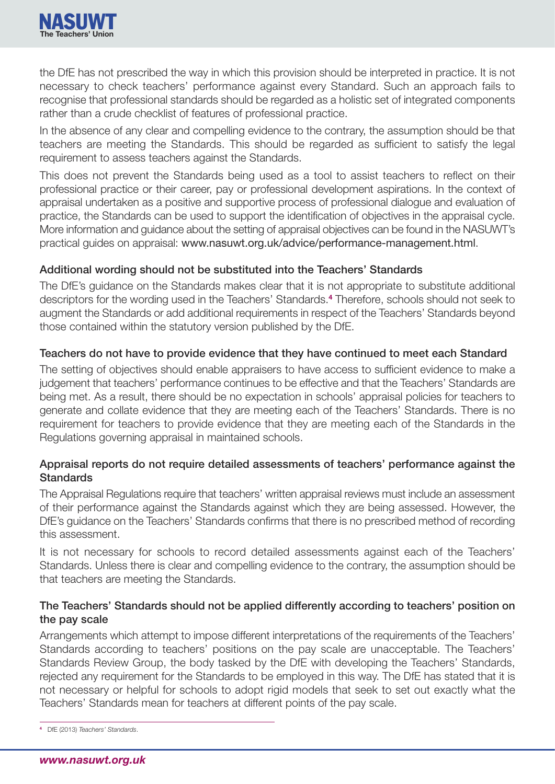

the DfE has not prescribed the way in which this provision should be interpreted in practice. It is not necessary to check teachers' performance against every Standard. Such an approach fails to recognise that professional standards should be regarded as a holistic set of integrated components rather than a crude checklist of features of professional practice.

In the absence of any clear and compelling evidence to the contrary, the assumption should be that teachers are meeting the Standards. This should be regarded as sufficient to satisfy the legal requirement to assess teachers against the Standards.

This does not prevent the Standards being used as a tool to assist teachers to reflect on their professional practice or their career, pay or professional development aspirations. In the context of appraisal undertaken as a positive and supportive process of professional dialogue and evaluation of practice, the Standards can be used to support the identification of objectives in the appraisal cycle. More information and guidance about the setting of appraisal objectives can be found in the NASUWT's practical guides on appraisal: www.nasuwt.org.uk/advice/performance-management.html.

#### **Additional wording should not be substituted into the Teachers' Standards**

The DfE's guidance on the Standards makes clear that it is not appropriate to substitute additional descriptors for the wording used in the Teachers' Standards.**<sup>4</sup>** Therefore, schools should not seek to augment the Standards or add additional requirements in respect of the Teachers' Standards beyond those contained within the statutory version published by the DfE.

#### **Teachers do not have to provide evidence that they have continued to meet each Standard**

The setting of objectives should enable appraisers to have access to sufficient evidence to make a judgement that teachers' performance continues to be effective and that the Teachers' Standards are being met. As a result, there should be no expectation in schools' appraisal policies for teachers to generate and collate evidence that they are meeting each of the Teachers' Standards. There is no requirement for teachers to provide evidence that they are meeting each of the Standards in the Regulations governing appraisal in maintained schools.

# **Appraisal reports do not require detailed assessments of teachers' performance against the Standards**

The Appraisal Regulations require that teachers' written appraisal reviews must include an assessment of their performance against the Standards against which they are being assessed. However, the DfE's guidance on the Teachers' Standards confirms that there is no prescribed method of recording this assessment.

It is not necessary for schools to record detailed assessments against each of the Teachers' Standards. Unless there is clear and compelling evidence to the contrary, the assumption should be that teachers are meeting the Standards.

# **The Teachers' Standards should not be applied differently according to teachers' position on the pay scale**

Arrangements which attempt to impose different interpretations of the requirements of the Teachers' Standards according to teachers' positions on the pay scale are unacceptable. The Teachers' Standards Review Group, the body tasked by the DfE with developing the Teachers' Standards, rejected any requirement for the Standards to be employed in this way. The DfE has stated that it is not necessary or helpful for schools to adopt rigid models that seek to set out exactly what the Teachers' Standards mean for teachers at different points of the pay scale.

**<sup>4</sup>** DfE (2013) *Teachers' Standards*.